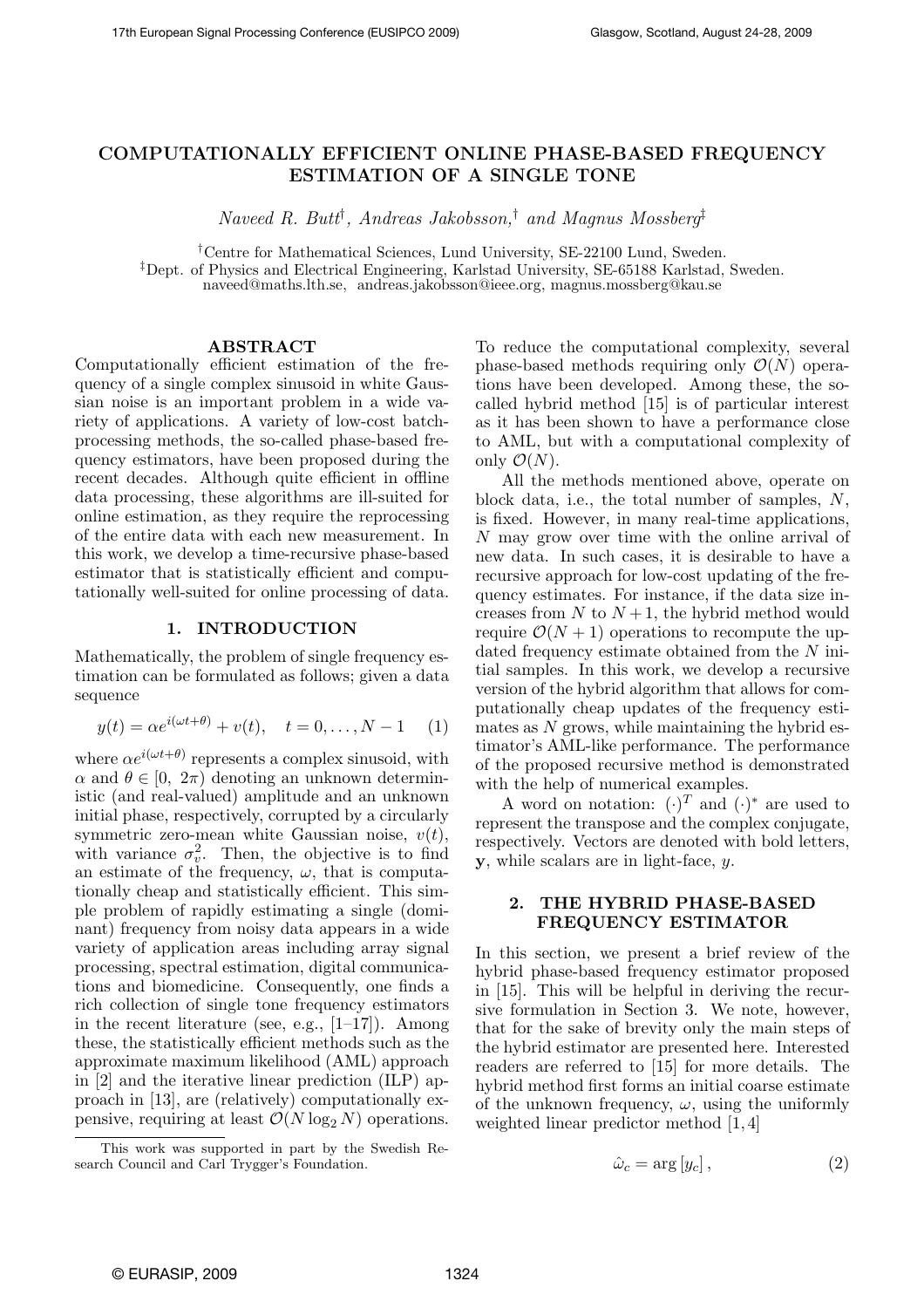# COMPUTATIONALLY EFFICIENT ONLINE PHASE-BASED FREQUENCY ESTIMATION OF A SINGLE TONE

Naveed R. Butt† , Andreas Jakobsson,† and Magnus Mossberg‡

†Centre for Mathematical Sciences, Lund University, SE-22100 Lund, Sweden. ‡Dept. of Physics and Electrical Engineering, Karlstad University, SE-65188 Karlstad, Sweden. naveed@maths.lth.se, andreas.jakobsson@ieee.org, magnus.mossberg@kau.se

### ABSTRACT

Computationally efficient estimation of the frequency of a single complex sinusoid in white Gaussian noise is an important problem in a wide variety of applications. A variety of low-cost batchprocessing methods, the so-called phase-based frequency estimators, have been proposed during the recent decades. Although quite efficient in offline data processing, these algorithms are ill-suited for online estimation, as they require the reprocessing of the entire data with each new measurement. In this work, we develop a time-recursive phase-based estimator that is statistically efficient and computationally well-suited for online processing of data.

#### 1. INTRODUCTION

Mathematically, the problem of single frequency estimation can be formulated as follows; given a data sequence

$$
y(t) = \alpha e^{i(\omega t + \theta)} + v(t), \quad t = 0, ..., N - 1
$$
 (1)

where  $\alpha e^{i(\omega t + \theta)}$  represents a complex sinusoid, with  $\alpha$  and  $\theta \in [0, 2\pi)$  denoting an unknown deterministic (and real-valued) amplitude and an unknown initial phase, respectively, corrupted by a circularly symmetric zero-mean white Gaussian noise,  $v(t)$ , with variance  $\sigma_v^2$ . Then, the objective is to find an estimate of the frequency,  $\omega$ , that is computationally cheap and statistically efficient. This simple problem of rapidly estimating a single (dominant) frequency from noisy data appears in a wide variety of application areas including array signal processing, spectral estimation, digital communications and biomedicine. Consequently, one finds a rich collection of single tone frequency estimators in the recent literature (see, e.g.,  $[1-17]$ ). Among these, the statistically efficient methods such as the approximate maximum likelihood (AML) approach in [2] and the iterative linear prediction (ILP) approach in [13], are (relatively) computationally expensive, requiring at least  $\mathcal{O}(N \log_2 N)$  operations.

To reduce the computational complexity, several phase-based methods requiring only  $\mathcal{O}(N)$  operations have been developed. Among these, the socalled hybrid method [15] is of particular interest as it has been shown to have a performance close to AML, but with a computational complexity of only  $\mathcal{O}(N)$ .

All the methods mentioned above, operate on block data, i.e., the total number of samples, N, is fixed. However, in many real-time applications, N may grow over time with the online arrival of new data. In such cases, it is desirable to have a recursive approach for low-cost updating of the frequency estimates. For instance, if the data size increases from N to  $N+1$ , the hybrid method would require  $\mathcal{O}(N+1)$  operations to recompute the updated frequency estimate obtained from the N initial samples. In this work, we develop a recursive version of the hybrid algorithm that allows for computationally cheap updates of the frequency estimates as  $N$  grows, while maintaining the hybrid estimator's AML-like performance. The performance of the proposed recursive method is demonstrated with the help of numerical examples.

A word on notation:  $(\cdot)^T$  and  $(\cdot)^*$  are used to represent the transpose and the complex conjugate, respectively. Vectors are denoted with bold letters, y, while scalars are in light-face, y.

# 2. THE HYBRID PHASE-BASED FREQUENCY ESTIMATOR

In this section, we present a brief review of the hybrid phase-based frequency estimator proposed in [15]. This will be helpful in deriving the recursive formulation in Section 3. We note, however, that for the sake of brevity only the main steps of the hybrid estimator are presented here. Interested readers are referred to [15] for more details. The hybrid method first forms an initial coarse estimate of the unknown frequency,  $\omega$ , using the uniformly weighted linear predictor method [1, 4]

$$
\hat{\omega}_c = \arg\left[y_c\right],\tag{2}
$$

This work was supported in part by the Swedish Research Council and Carl Trygger's Foundation.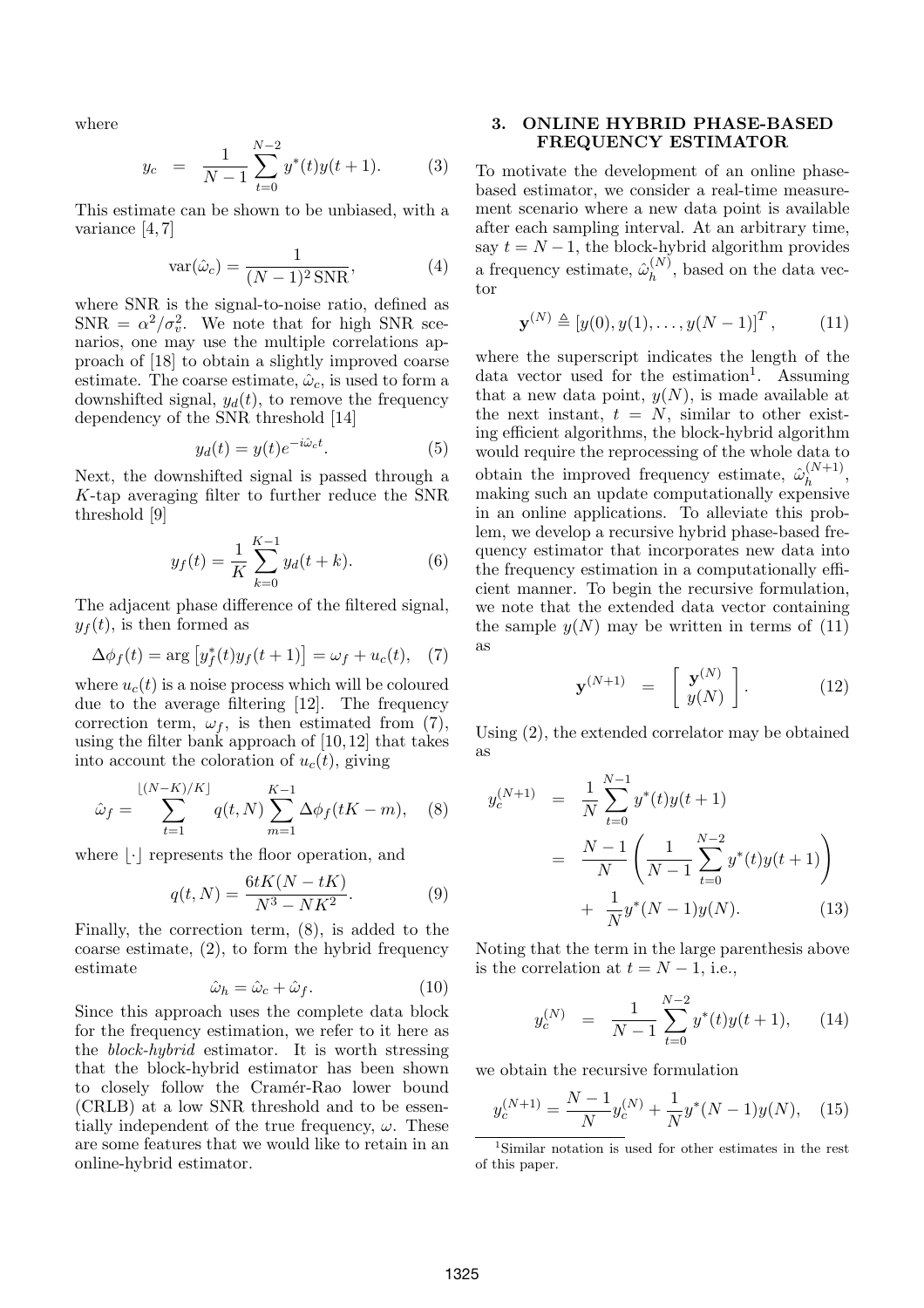where

$$
y_c = \frac{1}{N-1} \sum_{t=0}^{N-2} y^*(t) y(t+1).
$$
 (3)

This estimate can be shown to be unbiased, with a variance [4, 7]

$$
var(\hat{\omega}_c) = \frac{1}{(N-1)^2 \text{SNR}},\tag{4}
$$

where SNR is the signal-to-noise ratio, defined as  $SNR = \alpha^2/\sigma_v^2$ . We note that for high SNR scenarios, one may use the multiple correlations approach of [18] to obtain a slightly improved coarse estimate. The coarse estimate,  $\hat{\omega}_c$ , is used to form a downshifted signal,  $y_d(t)$ , to remove the frequency dependency of the SNR threshold [14]

$$
y_d(t) = y(t)e^{-i\hat{\omega}_c t}.
$$
 (5)

Next, the downshifted signal is passed through a K-tap averaging filter to further reduce the SNR threshold [9]

$$
y_f(t) = \frac{1}{K} \sum_{k=0}^{K-1} y_d(t+k).
$$
 (6)

The adjacent phase difference of the filtered signal,  $y_f(t)$ , is then formed as

$$
\Delta \phi_f(t) = \arg \left[ y_f^*(t)y_f(t+1) \right] = \omega_f + u_c(t), \quad (7)
$$

where  $u_c(t)$  is a noise process which will be coloured due to the average filtering [12]. The frequency correction term,  $\omega_f$ , is then estimated from (7), using the filter bank approach of [10, 12] that takes into account the coloration of  $u_c(t)$ , giving

$$
\hat{\omega}_f = \sum_{t=1}^{\lfloor (N-K)/K \rfloor} q(t, N) \sum_{m=1}^{K-1} \Delta \phi_f(tK - m), \quad (8)
$$

where  $|\cdot|$  represents the floor operation, and

$$
q(t, N) = \frac{6tK(N - tK)}{N^3 - NK^2}.
$$
 (9)

Finally, the correction term, (8), is added to the coarse estimate, (2), to form the hybrid frequency estimate

$$
\hat{\omega}_h = \hat{\omega}_c + \hat{\omega}_f. \tag{10}
$$

Since this approach uses the complete data block for the frequency estimation, we refer to it here as the block-hybrid estimator. It is worth stressing that the block-hybrid estimator has been shown to closely follow the Cramér-Rao lower bound (CRLB) at a low SNR threshold and to be essentially independent of the true frequency,  $\omega$ . These are some features that we would like to retain in an online-hybrid estimator.

### 3. ONLINE HYBRID PHASE-BASED FREQUENCY ESTIMATOR

To motivate the development of an online phasebased estimator, we consider a real-time measurement scenario where a new data point is available after each sampling interval. At an arbitrary time, say  $t = N - 1$ , the block-hybrid algorithm provides a frequency estimate,  $\hat{\omega}_{h}^{(N)}$  $h^{(N)}$ , based on the data vector

$$
\mathbf{y}^{(N)} \triangleq [y(0), y(1), \dots, y(N-1)]^T, \quad (11)
$$

where the superscript indicates the length of the data vector used for the estimation<sup>1</sup>. Assuming that a new data point,  $y(N)$ , is made available at the next instant,  $t = N$ , similar to other existing efficient algorithms, the block-hybrid algorithm would require the reprocessing of the whole data to obtain the improved frequency estimate,  $\hat{\omega}_{h}^{(N+1)}$  $h^{(N+1)},$ making such an update computationally expensive in an online applications. To alleviate this problem, we develop a recursive hybrid phase-based frequency estimator that incorporates new data into the frequency estimation in a computationally efficient manner. To begin the recursive formulation, we note that the extended data vector containing the sample  $y(N)$  may be written in terms of (11) as

$$
\mathbf{y}^{(N+1)} = \begin{bmatrix} \mathbf{y}^{(N)} \\ y(N) \end{bmatrix} . \tag{12}
$$

Using (2), the extended correlator may be obtained as

$$
y_c^{(N+1)} = \frac{1}{N} \sum_{t=0}^{N-1} y^*(t)y(t+1)
$$
  
= 
$$
\frac{N-1}{N} \left( \frac{1}{N-1} \sum_{t=0}^{N-2} y^*(t)y(t+1) \right)
$$
  
+ 
$$
\frac{1}{N} y^*(N-1)y(N).
$$
 (13)

Noting that the term in the large parenthesis above is the correlation at  $t = N - 1$ , i.e.,

$$
y_c^{(N)} = \frac{1}{N-1} \sum_{t=0}^{N-2} y^*(t) y(t+1), \qquad (14)
$$

we obtain the recursive formulation

$$
y_c^{(N+1)} = \frac{N-1}{N}y_c^{(N)} + \frac{1}{N}y^*(N-1)y(N), \quad (15)
$$

<sup>1</sup>Similar notation is used for other estimates in the rest of this paper.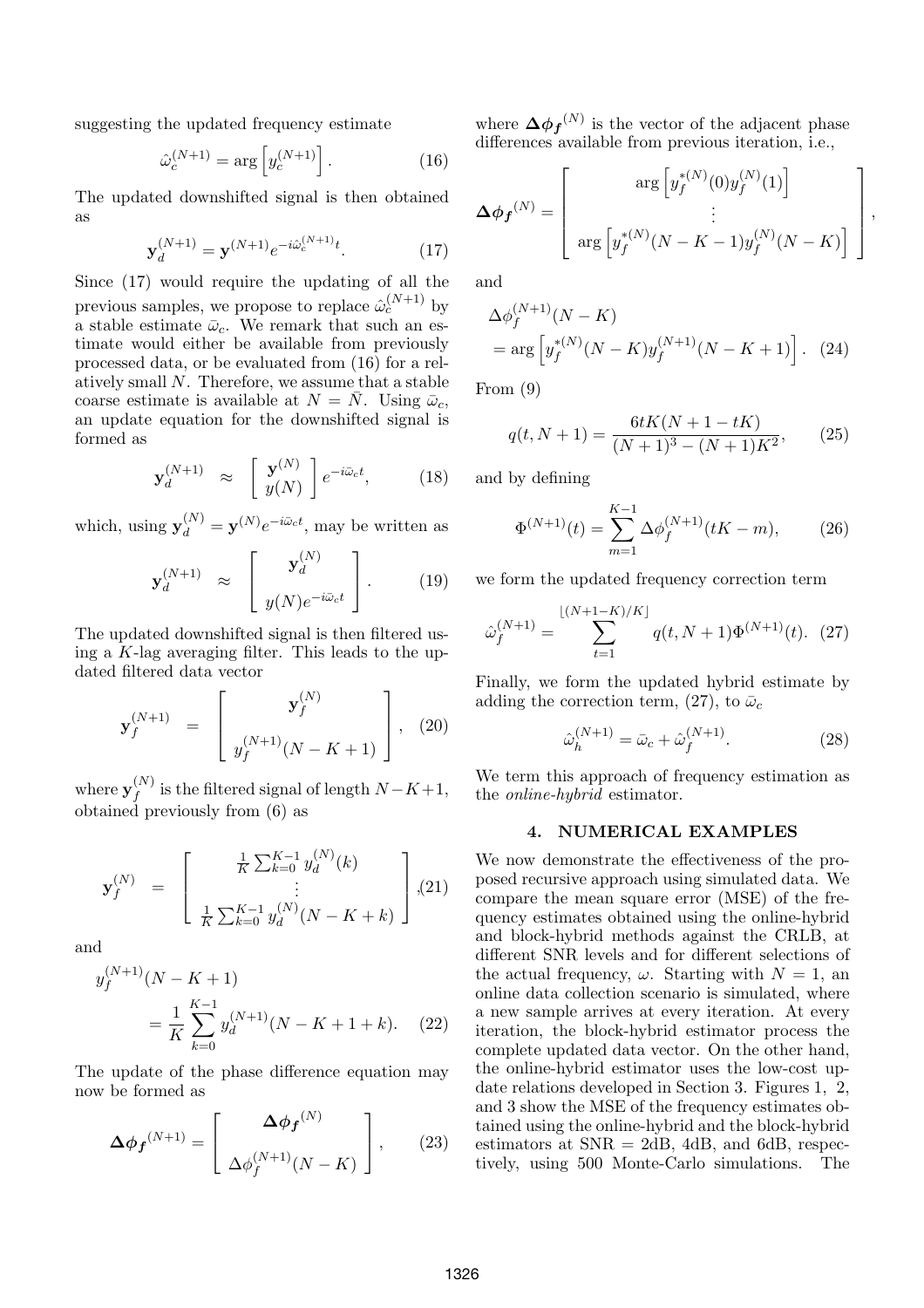suggesting the updated frequency estimate

$$
\hat{\omega}_c^{(N+1)} = \arg\left[y_c^{(N+1)}\right].\tag{16}
$$

The updated downshifted signal is then obtained as

$$
\mathbf{y}_d^{(N+1)} = \mathbf{y}^{(N+1)} e^{-i\hat{\omega}_c^{(N+1)}t}.
$$
 (17)

Since (17) would require the updating of all the previous samples, we propose to replace  $\hat{\omega}_c^{(N+1)}$  by a stable estimate  $\bar{\omega}_c$ . We remark that such an estimate would either be available from previously processed data, or be evaluated from (16) for a relatively small  $N$ . Therefore, we assume that a stable coarse estimate is available at  $N = N$ . Using  $\bar{\omega}_c$ , an update equation for the downshifted signal is formed as

$$
\mathbf{y}_d^{(N+1)} \approx \begin{bmatrix} \mathbf{y}^{(N)} \\ y(N) \end{bmatrix} e^{-i\bar{\omega}_c t}, \quad (18)
$$

which, using  $\mathbf{y}_d^{(N)} = \mathbf{y}^{(N)} e^{-i\bar{\omega}_c t}$ , may be written as  $\Gamma$   $(N)$   $\Gamma$ 

$$
\mathbf{y}_d^{(N+1)} \approx \begin{bmatrix} \mathbf{y}_d^{(N)} \\ y_d^{(N)} e^{-i\bar{\omega}_c t} \end{bmatrix} . \tag{19}
$$

The updated downshifted signal is then filtered using a  $K$ -lag averaging filter. This leads to the updated filtered data vector  $\overline{a}$  $\overline{a}$ 

$$
\mathbf{y}_{f}^{(N+1)} = \begin{bmatrix} \mathbf{y}_{f}^{(N)} \\ y_{f}^{(N+1)}(N-K+1) \end{bmatrix}, (20)
$$

where  $\mathbf{y}_t^{(N)}$  $f_f^{(N)}$  is the filtered signal of length  $N-K+1$ , obtained previously from (6) as

$$
\mathbf{y}_{f}^{(N)} = \begin{bmatrix} \frac{1}{K} \sum_{k=0}^{K-1} y_{d}^{(N)}(k) \\ \vdots \\ \frac{1}{K} \sum_{k=0}^{K-1} y_{d}^{(N)}(N-K+k) \end{bmatrix}, (21)
$$

and

$$
y_f^{(N+1)}(N - K + 1)
$$
  
= 
$$
\frac{1}{K} \sum_{k=0}^{K-1} y_d^{(N+1)}(N - K + 1 + k). \quad (22)
$$

The update of the phase difference equation may now be formed as

$$
\Delta \phi_f^{(N+1)} = \begin{bmatrix} \Delta \phi_f^{(N)} \\ \Delta \phi_f^{(N+1)}(N-K) \end{bmatrix}, \qquad (23)
$$

where  $\mathbf{\Delta} \boldsymbol{\phi_f}^{(N)}$  is the vector of the adjacent phase differences available from previous iteration, i.e.,

$$
\Delta \phi_f^{(N)} = \left[ \begin{array}{c} \arg \left[ y_f^{*(N)}(0) y_f^{(N)}(1) \right] \\ \vdots \\ \arg \left[ y_f^{*(N)}(N-K-1) y_f^{(N)}(N-K) \right] \end{array} \right],
$$

and

$$
\Delta \phi_f^{(N+1)}(N - K) = \arg \left[ y_f^{*(N)}(N - K) y_f^{(N+1)}(N - K + 1) \right].
$$
 (24)

From (9)

$$
q(t, N+1) = \frac{6tK(N+1 - tK)}{(N+1)^3 - (N+1)K^2},
$$
 (25)

and by defining

$$
\Phi^{(N+1)}(t) = \sum_{m=1}^{K-1} \Delta \phi_f^{(N+1)}(tK - m), \qquad (26)
$$

we form the updated frequency correction term

$$
\hat{\omega}_f^{(N+1)} = \sum_{t=1}^{\lfloor (N+1-K)/K \rfloor} q(t, N+1) \Phi^{(N+1)}(t). (27)
$$

Finally, we form the updated hybrid estimate by adding the correction term, (27), to  $\bar{\omega}_c$ 

$$
\hat{\omega}_h^{(N+1)} = \bar{\omega}_c + \hat{\omega}_f^{(N+1)}.
$$
\n(28)

We term this approach of frequency estimation as the online-hybrid estimator.

#### 4. NUMERICAL EXAMPLES

We now demonstrate the effectiveness of the proposed recursive approach using simulated data. We compare the mean square error (MSE) of the frequency estimates obtained using the online-hybrid and block-hybrid methods against the CRLB, at different SNR levels and for different selections of the actual frequency,  $\omega$ . Starting with  $N = 1$ , an online data collection scenario is simulated, where a new sample arrives at every iteration. At every iteration, the block-hybrid estimator process the complete updated data vector. On the other hand, the online-hybrid estimator uses the low-cost update relations developed in Section 3. Figures 1, 2, and 3 show the MSE of the frequency estimates obtained using the online-hybrid and the block-hybrid estimators at  $SNR = 2dB$ , 4dB, and 6dB, respectively, using 500 Monte-Carlo simulations. The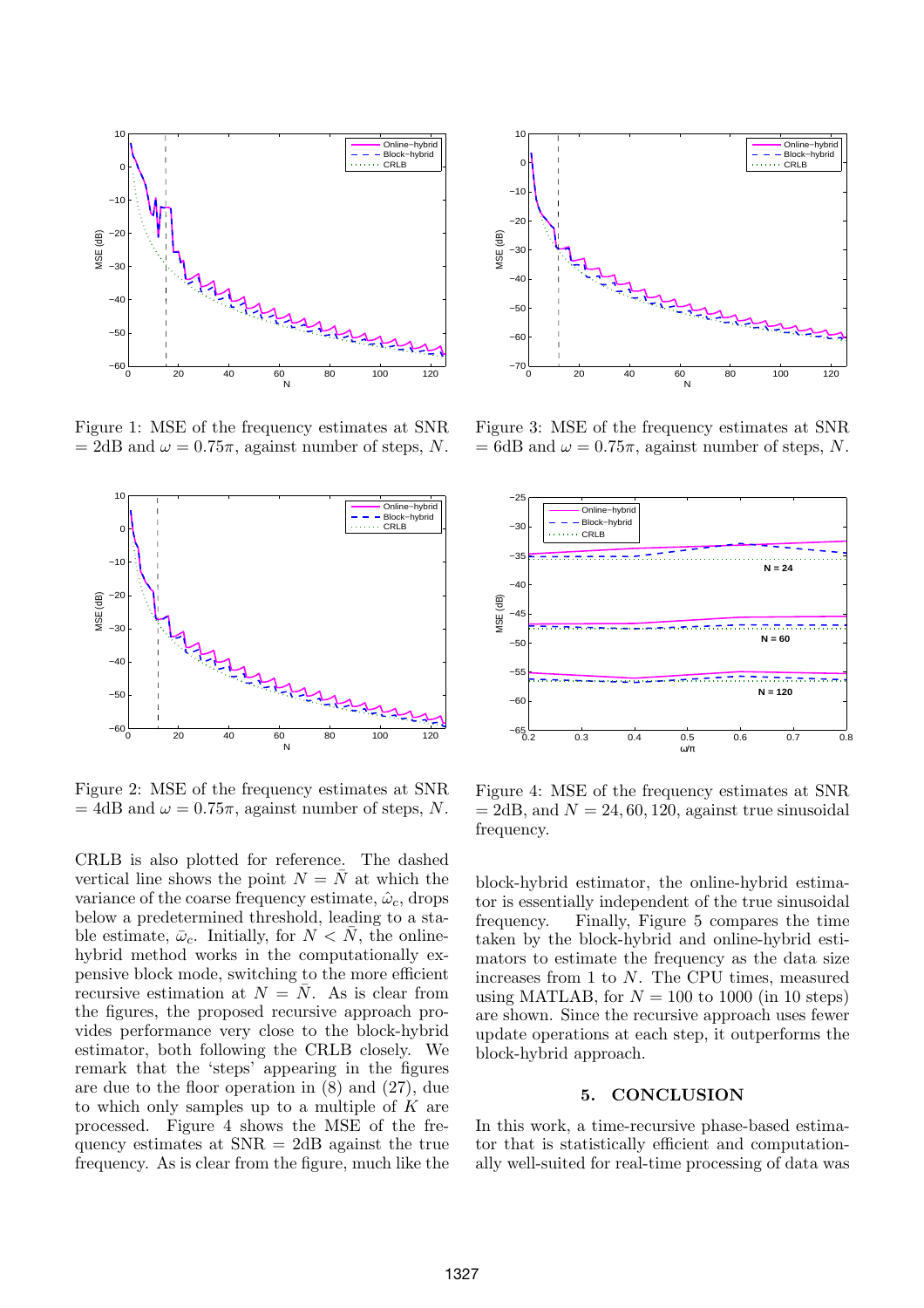

Figure 1: MSE of the frequency estimates at SNR  $= 2dB$  and  $\omega = 0.75\pi$ , against number of steps, N.



Figure 2: MSE of the frequency estimates at SNR  $= 4dB$  and  $\omega = 0.75\pi$ , against number of steps, N.

CRLB is also plotted for reference. The dashed vertical line shows the point  $N = \overline{N}$  at which the variance of the coarse frequency estimate,  $\hat{\omega}_c$ , drops below a predetermined threshold, leading to a stable estimate,  $\bar{\omega}_c$ . Initially, for  $N < N$ , the onlinehybrid method works in the computationally expensive block mode, switching to the more efficient recursive estimation at  $N = \overline{N}$ . As is clear from the figures, the proposed recursive approach provides performance very close to the block-hybrid estimator, both following the CRLB closely. We remark that the 'steps' appearing in the figures are due to the floor operation in (8) and (27), due to which only samples up to a multiple of K are processed. Figure 4 shows the MSE of the frequency estimates at SNR = 2dB against the true frequency. As is clear from the figure, much like the



Figure 3: MSE of the frequency estimates at SNR  $= 6dB$  and  $\omega = 0.75\pi$ , against number of steps, N.



Figure 4: MSE of the frequency estimates at SNR  $= 2dB$ , and  $N = 24, 60, 120$ , against true sinusoidal frequency.

block-hybrid estimator, the online-hybrid estimator is essentially independent of the true sinusoidal frequency. Finally, Figure 5 compares the time taken by the block-hybrid and online-hybrid estimators to estimate the frequency as the data size increases from 1 to N. The CPU times, measured using MATLAB, for  $N = 100$  to 1000 (in 10 steps) are shown. Since the recursive approach uses fewer update operations at each step, it outperforms the block-hybrid approach.

## 5. CONCLUSION

In this work, a time-recursive phase-based estimator that is statistically efficient and computationally well-suited for real-time processing of data was